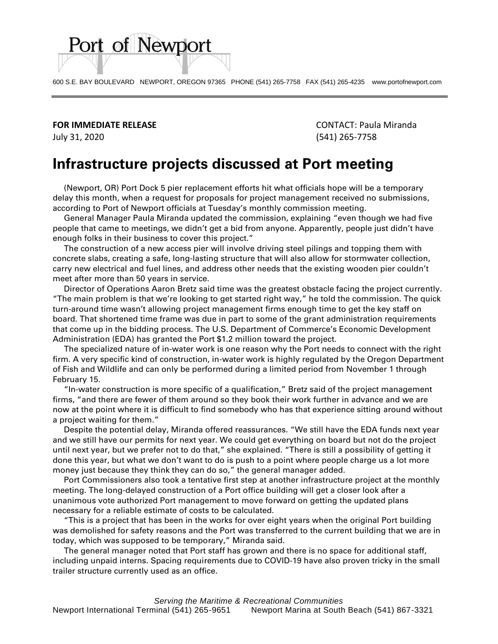600 S.E. BAY BOULEVARD NEWPORT, OREGON 97365 PHONE (541) 265-7758 FAX (541) 265-4235 www.portofnewport.com

**FOR IMMEDIATE RELEASE** CONTACT: Paula Miranda

Port of Newport

July 31, 2020 (541) 265-7758

## **Infrastructure projects discussed at Port meeting**

 (Newport, OR) Port Dock 5 pier replacement efforts hit what officials hope will be a temporary delay this month, when a request for proposals for project management received no submissions, according to Port of Newport officials at Tuesday's monthly commission meeting.

 General Manager Paula Miranda updated the commission, explaining "even though we had five people that came to meetings, we didn't get a bid from anyone. Apparently, people just didn't have enough folks in their business to cover this project."

 The construction of a new access pier will involve driving steel pilings and topping them with concrete slabs, creating a safe, long-lasting structure that will also allow for stormwater collection, carry new electrical and fuel lines, and address other needs that the existing wooden pier couldn't meet after more than 50 years in service.

 Director of Operations Aaron Bretz said time was the greatest obstacle facing the project currently. "The main problem is that we're looking to get started right way," he told the commission. The quick turn-around time wasn't allowing project management firms enough time to get the key staff on board. That shortened time frame was due in part to some of the grant administration requirements that come up in the bidding process. The U.S. Department of Commerce's Economic Development Administration (EDA) has granted the Port \$1.2 million toward the project.

 The specialized nature of in-water work is one reason why the Port needs to connect with the right firm. A very specific kind of construction, in-water work is highly regulated by the Oregon Department of Fish and Wildlife and can only be performed during a limited period from November 1 through February 15.

 "In-water construction is more specific of a qualification," Bretz said of the project management firms, "and there are fewer of them around so they book their work further in advance and we are now at the point where it is difficult to find somebody who has that experience sitting around without a project waiting for them."

 Despite the potential delay, Miranda offered reassurances. "We still have the EDA funds next year and we still have our permits for next year. We could get everything on board but not do the project until next year, but we prefer not to do that," she explained. "There is still a possibility of getting it done this year, but what we don't want to do is push to a point where people charge us a lot more money just because they think they can do so," the general manager added.

 Port Commissioners also took a tentative first step at another infrastructure project at the monthly meeting. The long-delayed construction of a Port office building will get a closer look after a unanimous vote authorized Port management to move forward on getting the updated plans necessary for a reliable estimate of costs to be calculated.

 "This is a project that has been in the works for over eight years when the original Port building was demolished for safety reasons and the Port was transferred to the current building that we are in today, which was supposed to be temporary," Miranda said.

 The general manager noted that Port staff has grown and there is no space for additional staff, including unpaid interns. Spacing requirements due to COVID-19 have also proven tricky in the small trailer structure currently used as an office.